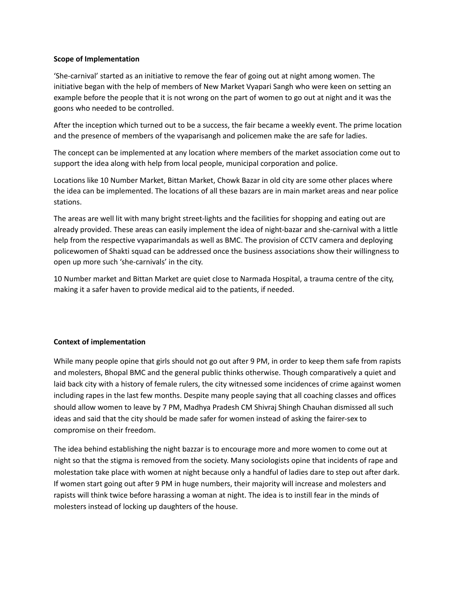## **Scope of Implementation**

'She-carnival' started as an initiative to remove the fear of going out at night among women. The initiative began with the help of members of New Market Vyapari Sangh who were keen on setting an example before the people that it is not wrong on the part of women to go out at night and it was the goons who needed to be controlled.

After the inception which turned out to be a success, the fair became a weekly event. The prime location and the presence of members of the vyaparisangh and policemen make the are safe for ladies.

The concept can be implemented at any location where members of the market association come out to support the idea along with help from local people, municipal corporation and police.

Locations like 10 Number Market, Bittan Market, Chowk Bazar in old city are some other places where the idea can be implemented. The locations of all these bazars are in main market areas and near police stations.

The areas are well lit with many bright street-lights and the facilities for shopping and eating out are already provided. These areas can easily implement the idea of night-bazar and she-carnival with a little help from the respective vyaparimandals as well as BMC. The provision of CCTV camera and deploying policewomen of Shakti squad can be addressed once the business associations show their willingness to open up more such 'she-carnivals' in the city.

10 Number market and Bittan Market are quiet close to Narmada Hospital, a trauma centre of the city, making it a safer haven to provide medical aid to the patients, if needed.

## **Context of implementation**

While many people opine that girls should not go out after 9 PM, in order to keep them safe from rapists and molesters, Bhopal BMC and the general public thinks otherwise. Though comparatively a quiet and laid back city with a history of female rulers, the city witnessed some incidences of crime against women including rapes in the last few months. Despite many people saying that all coaching classes and offices should allow women to leave by 7 PM, Madhya Pradesh CM Shivraj Shingh Chauhan dismissed all such ideas and said that the city should be made safer for women instead of asking the fairer-sex to compromise on their freedom.

The idea behind establishing the night bazzar is to encourage more and more women to come out at night so that the stigma is removed from the society. Many sociologists opine that incidents of rape and molestation take place with women at night because only a handful of ladies dare to step out after dark. If women start going out after 9 PM in huge numbers, their majority will increase and molesters and rapists will think twice before harassing a woman at night. The idea is to instill fear in the minds of molesters instead of locking up daughters of the house.